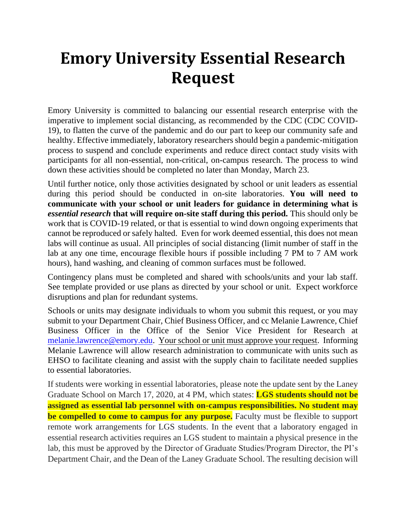## **Emory University Essential Research Request**

Emory University is committed to balancing our essential research enterprise with the imperative to implement social distancing, as recommended by the CDC (CDC COVID-19), to flatten the curve of the pandemic and do our part to keep our community safe and healthy. Effective immediately, laboratory researchers should begin a pandemic-mitigation process to suspend and conclude experiments and reduce direct contact study visits with participants for all non-essential, non-critical, on-campus research. The process to wind down these activities should be completed no later than Monday, March 23.

Until further notice, only those activities designated by school or unit leaders as essential during this period should be conducted in on-site laboratories. **You will need to communicate with your school or unit leaders for guidance in determining what is**  *essential research* **that will require on-site staff during this period.** This should only be work that is COVID-19 related, or that is essential to wind down ongoing experiments that cannot be reproduced or safely halted. Even for work deemed essential, this does not mean labs will continue as usual. All principles of social distancing (limit number of staff in the lab at any one time, encourage flexible hours if possible including 7 PM to 7 AM work hours), hand washing, and cleaning of common surfaces must be followed.

Contingency plans must be completed and shared with schools/units and your lab staff. See template provided or use plans as directed by your school or unit. Expect workforce disruptions and plan for redundant systems.

Schools or units may designate individuals to whom you submit this request, or you may submit to your Department Chair, Chief Business Officer, and cc Melanie Lawrence, Chief Business Officer in the Office of the Senior Vice President for Research at [melanie.lawrence@emory.edu.](mailto:melanie.lawrence@emory.edu) Your school or unit must approve your request. Informing Melanie Lawrence will allow research administration to communicate with units such as EHSO to facilitate cleaning and assist with the supply chain to facilitate needed supplies to essential laboratories.

If students were working in essential laboratories, please note the update sent by the Laney Graduate School on March 17, 2020, at 4 PM, which states: **LGS students should not be assigned as essential lab personnel with on-campus responsibilities. No student may be compelled to come to campus for any purpose.** Faculty must be flexible to support remote work arrangements for LGS students. In the event that a laboratory engaged in essential research activities requires an LGS student to maintain a physical presence in the lab, this must be approved by the Director of Graduate Studies/Program Director, the PI's Department Chair, and the Dean of the Laney Graduate School. The resulting decision will